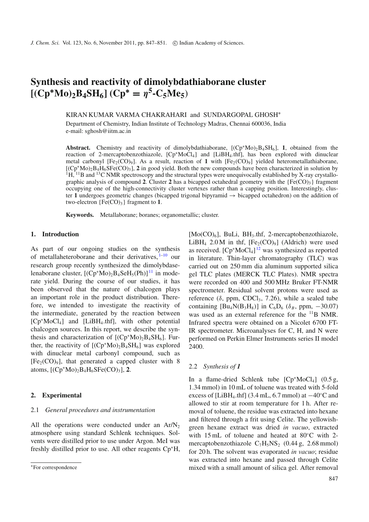# **Synthesis and reactivity of dimolybdathiaborane cluster**  $[(Cp^*Mo)_2B_4SH_6]$   $(Cp^* = \eta^5-C_5Me_5)$

KIRAN KUMAR VARMA CHAKRAHARI and SUNDARGOPAL GHOSH<sup>∗</sup>

Department of Chemistry, Indian Institute of Technology Madras, Chennai 600036, India e-mail: sghosh@iitm.ac.in

**Abstract.** Chemistry and reactivity of dimolybdathiaborane,  $[(Cp^*Mo)_{2}BASH_6]$ , 1, obtained from the reaction of 2-mercaptobenzothiazole, [Cp<sup>∗</sup>MoCl4] and [LiBH4.thf], has been explored with dinuclear metal carbonyl  $[Fe_2(CO)_9]$ . As a result, reaction of 1 with  $[Fe_2(CO)_9]$  yielded heterometallathiaborane, [(Cp<sup>∗</sup>Mo)2B4H6SFe(CO)3], **2** in good yield. Both the new compounds have been characterized in solution by  $1\text{H}$ ,  $11\text{B}$  and  $13\text{C}$  NMR spectroscopy and the structural types were unequivocally established by X-ray crystallographic analysis of compound 2. Cluster 2 has a bicapped octahedral geometry with the  ${Fe(CO)}_3$  fragment occupying one of the high-connectivity cluster vertexes rather than a capping position. Interestingly, cluster **1** undergoes geometric changes (bicapped trigonal bipyramid → bicapped octahedron) on the addition of two-electron  ${Fe(CO)_3}$  fragment to 1.

**Keywords.** Metallaborane; boranes; organometallic; cluster.

# **1. Introduction**

As part of our ongoing studies on the synthesis of metallaheteroborane and their derivatives,  $1-10$  $1-10$  our research group recently synthesized the dimolybdaselenaborane cluster,  $[(Cp*Mo)_2B_4SeH<sub>5</sub>(Ph)]<sup>11</sup>$  $[(Cp*Mo)_2B_4SeH<sub>5</sub>(Ph)]<sup>11</sup>$  $[(Cp*Mo)_2B_4SeH<sub>5</sub>(Ph)]<sup>11</sup>$  in moderate yield. During the course of our studies, it has been observed that the nature of chalcogen plays an important role in the product distribution. Therefore, we intended to investigate the reactivity of the intermediate, generated by the reaction between [Cp<sup>∗</sup>MoCl4] and [LiBH4.thf], with other potential chalcogen sources. In this report, we describe the synthesis and characterization of  $[(Cp*Mo)<sub>2</sub>B<sub>4</sub>SH<sub>6</sub>]$ . Further, the reactivity of  $[(Cp*Mo)_2B_4SH_6]$  was explored with dinuclear metal carbonyl compound, such as  $[Fe<sub>2</sub>(CO)<sub>9</sub>]$ , that generated a capped cluster with 8 atoms,  $[(Cp*Mo)<sub>2</sub>B<sub>4</sub>H<sub>6</sub>SFe(CO)<sub>3</sub>],$  2.

## **2. Experimental**

## 2.1 *General procedures and instrumentation*

All the operations were conducted under an  $Ar/N<sub>2</sub>$ atmosphere using standard Schlenk techniques. Solvents were distilled prior to use under Argon. MeI was freshly distilled prior to use. All other reagents Cp<sup>∗</sup>H,  $[Mo(CO)<sub>6</sub>]$ , BuLi, BH<sub>3</sub>.thf, 2-mercaptobenzothiazole, LiBH<sub>4</sub> 2.0 M in thf,  $[Fe<sub>2</sub>(CO)<sub>9</sub>]$  (Aldrich) were used as received.  $[Cp^*MoCl_4]^{12}$  $[Cp^*MoCl_4]^{12}$  $[Cp^*MoCl_4]^{12}$  was synthesized as reported in literature. Thin-layer chromatography (TLC) was carried out on 250 mm dia aluminum supported silica gel TLC plates (MERCK TLC Plates). NMR spectra were recorded on 400 and 500 MHz Bruker FT-NMR spectrometer. Residual solvent protons were used as reference ( $\delta$ , ppm, CDCl<sub>3</sub>, 7.26), while a sealed tube containing  $[Bu_4N(B_3H_8)]$  in C<sub>6</sub>D<sub>6</sub> ( $\delta_B$ , ppm, -30.07) was used as an external reference for the <sup>11</sup>B NMR. Infrared spectra were obtained on a Nicolet 6700 FT-IR spectrometer. Microanalyses for C, H, and N were performed on Perkin Elmer Instruments series II model 2400.

#### 2.2 *Synthesis of 1*

In a flame-dried Schlenk tube  $[Cp^*MoCl_4]$  (0.5 g, 1.34 mmol) in 10 mL of toluene was treated with 5-fold excess of [LiBH<sub>4</sub>.thf] (3.4 mL, 6.7 mmol) at  $-40^{\circ}$ C and allowed to stir at room temperature for 1 h. After removal of toluene, the residue was extracted into hexane and filtered through a frit using Celite. The yellowishgreen hexane extract was dried *in vacuo*, extracted with 15 mL of toluene and heated at 80◦C with 2 mercaptobenzothiazole  $C_7H_5NS_2$  (0.44 g, 2.68 mmol) for 20 h. The solvent was evaporated *in vacuo*; residue was extracted into hexane and passed through Celite mixed with a small amount of silica gel. After removal

<sup>∗</sup>For correspondence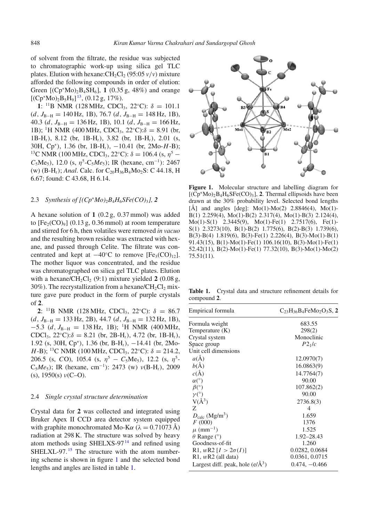of solvent from the filtrate, the residue was subjected to chromatographic work-up using silica gel TLC plates. Elution with hexane: $CH_2Cl_2$  (95:05  $v/v$ ) mixture afforded the following compounds in order of elution: Green  $[(Cp*Mo)<sub>2</sub>B<sub>4</sub>SH<sub>6</sub>], 1 (0.35 g, 48%)$  and orange  $[(Cp*Mo)<sub>2</sub>B<sub>5</sub>H<sub>9</sub>]<sup>13</sup>, (0.12 g, 17%).$  $[(Cp*Mo)<sub>2</sub>B<sub>5</sub>H<sub>9</sub>]<sup>13</sup>, (0.12 g, 17%).$  $[(Cp*Mo)<sub>2</sub>B<sub>5</sub>H<sub>9</sub>]<sup>13</sup>, (0.12 g, 17%).$ 

**1**: <sup>11</sup>B NMR (128 MHz, CDCl<sub>3</sub>, 22°C):  $\delta = 101.1$ (*d*, *J*B−<sup>H</sup> = 140 Hz, 1B), 76.7 (*d*, *J*B−<sup>H</sup> = 148 Hz, 1B), 40.3 (*d*, *J*B−<sup>H</sup> = 136 Hz, 1B), 10.1 (*d*, *J*B−<sup>H</sup> = 166 Hz, 1B); <sup>1</sup>H NMR (400 MHz, CDCl<sub>3</sub>, 22°C): $\delta = 8.91$  (br, 1B-H*t*), 8.12 (br, 1B-H*t*), 3.82 (br, 1B-H*t*), 2.01 (s, 30H, Cp<sup>∗</sup>), 1.36 (br, 1B-H*t*), −10.41 (br, 2Mo-*H*-B); <sup>13</sup>C NMR (100 MHz, CDCl<sub>3</sub>, 22°C):  $\delta = 106.4$  (s,  $\eta^5$  –  $C_5Me_5$ ), 12.0 (s,  $\eta^5$ -C<sub>5</sub> $Me_5$ ); IR (hexane, cm<sup>-1</sup>): 2467 (w) (B-H<sub>t</sub>); *Anal*. Calc. for C<sub>20</sub>H<sub>36</sub>B<sub>4</sub>Mo<sub>2</sub>S: C 44.18, H 6.67; found: C 43.68, H 6.14.

## 2.3 *Synthesis of*  $[(Cp^*Mo)_2B_4H_6SFe(CO)_3]$ , 2

A hexane solution of **1** (0.2 g, 0.37 mmol) was added to  $[Fe<sub>2</sub>(CO)<sub>9</sub>]$  (0.13 g, 0.36 mmol) at room temperature and stirred for 6 h, then volatiles were removed *in vacuo* and the resulting brown residue was extracted with hexane, and passed through Celite. The filtrate was concentrated and kept at  $-40$ °C to remove [Fe<sub>3</sub>(CO)<sub>12</sub>]. The mother liquor was concentrated, and the residue was chromatographed on silica gel TLC plates. Elution with a hexane/ $CH_2Cl_2$  (9:1) mixture yielded 2 (0.08 g, 30%). The recrystallization from a hexane/ $CH<sub>2</sub>Cl<sub>2</sub>$  mixture gave pure product in the form of purple crystals of **2**.

**2**: <sup>11</sup>B NMR (128 MHz, CDCl<sub>3</sub>, 22°C):  $\delta = 86.7$ (*d*, *J*<sub>B−H</sub> = 133 Hz, 2B), 44.7 (*d*, *J*<sub>B−H</sub> = 132 Hz, 1B),  $-5.3$  (*d*,  $J_{B-H} = 138$  Hz, 1B); <sup>1</sup>H NMR (400 MHz, CDCl<sub>3</sub>, 22°C): $\delta = 8.21$  (br, 2B-H<sub>t</sub>), 4.72 (br, 1B-H<sub>t</sub>), 1.92 (s, 30H, Cp<sup>∗</sup>), 1.36 (br, B-H*t*), −14.41 (br, 2Mo-*H*-B); <sup>13</sup>C NMR (100 MHz, CDCl<sub>3</sub>, 22°C):  $\delta = 214.2$ , 206.5 (s, *CO*), 105.4 (s,  $\eta^5 - C_5Me_5$ ), 12.2 (s,  $\eta^5$ -C5*Me*5); IR (hexane, cm<sup>−</sup><sup>1</sup>): 2473 (w) ν(B-H*t*), 2009 (s),  $1950(s)$   $\nu(C-O)$ .

## 2.4 *Single crystal structure determination*

Crystal data for **2** was collected and integrated using Bruker Apex II CCD area detector system equipped with graphite monochromated Mo-K $\alpha$  ( $\lambda = 0.71073$  Å) radiation at 298 K. The structure was solved by heavy atom methods using SHELXS-97 $14$  and refined using SHELXL-97.<sup>[15](#page-4-6)</sup> The structure with the atom numbering scheme is shown in figure [1](#page-1-0) and the selected bond lengths and angles are listed in table [1.](#page-1-1)

<span id="page-1-0"></span>

**Figure 1.** Molecular structure and labelling diagram for [(Cp<sup>∗</sup>Mo)2B4H6SFe(CO)3], **2**. Thermal ellipsoids have been drawn at the 30% probability level. Selected bond lengths [Å] and angles  $[deg]$ : Mo(1)-Mo(2) 2.8846(4), Mo(1)-B(1) 2.259(4), Mo(1)-B(2) 2.317(4), Mo(1)-B(3) 2.124(4), Mo(1)-S(1) 2.3445(9), Mo(1)-Fe(1) 2.7517(6), Fe(1)- S(1) 2.3273(10), B(1)-B(2) 1.775(6), B(2)-B(3) 1.739(6), B(3)-B(4) 1.819(6), B(3)-Fe(1) 2.226(4), B(3)-Mo(1)-B(1) 91.43(15), B(1)-Mo(1)-Fe(1) 106.16(10), B(3)-Mo(1)-Fe(1) 52.42(11), B(2)-Mo(1)-Fe(1) 77.32(10), B(3)-Mo(1)-Mo(2) 75.51(11).

<span id="page-1-1"></span>**Table 1.** Crystal data and structure refinement details for compound **2**.

| Empirical formula                           | $C_{23}H_{36}B_4FeMo_2O_3S$ , 2 |
|---------------------------------------------|---------------------------------|
| Formula weight                              | 683.55                          |
| Temperature (K)                             | 298(2)                          |
| Crystal system                              | Monoclinic                      |
| Space group                                 | P2 <sub>1</sub> /c              |
| Unit cell dimensions                        |                                 |
| $a(\AA)$                                    | 12.0970(7)                      |
| $b(\AA)$                                    | 16.0863(9)                      |
| $c(\AA)$                                    | 14.7764(7)                      |
| $\alpha$ <sup>(<math>\circ</math></sup> )   | 90.00                           |
| $\beta$ <sup>(<math>\circ</math></sup> )    | 107.862(2)                      |
| $\nu$ <sup>(°)</sup>                        | 90.00                           |
| $V(\AA^3)$                                  | 2736.8(3)                       |
| Z                                           | 4                               |
| $D_{\text{calc}}$ (Mg/m <sup>3</sup> )      | 1.659                           |
| F(000)                                      | 1376                            |
| $\mu$ (mm <sup>-1</sup> )                   | 1.525                           |
| $\theta$ Range (°)                          | 1.92–28.43                      |
| Goodness-of-fit                             | 1.260                           |
| R1, $wR2 [I > 2\sigma(I)]$                  | 0.0282, 0.0684                  |
| R <sub>1</sub> , $wR2$ (all data)           | 0.0361, 0.0715                  |
| Largest diff. peak, hole $(e/\text{\AA}^3)$ | $0.474, -0.466$                 |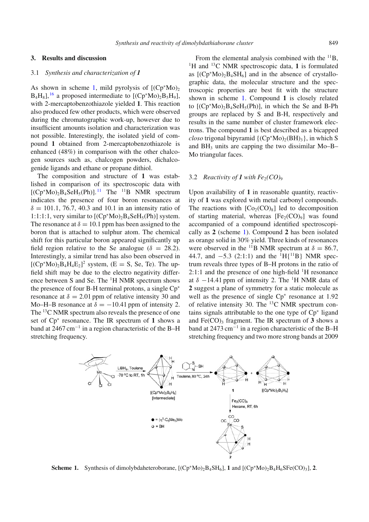# **3. Results and discussion**

## 3.1 *Synthesis and characterization of 1*

As shown in scheme [1,](#page-2-0) mild pyrolysis of  $[(Cp*Mo)_2]$  $B_4H_8$ ], <sup>[16](#page-4-7)</sup> a proposed intermediate to  $[(Cp*Mo)_2B_5H_9]$ , with 2-mercaptobenzothiazole yielded **1**. This reaction also produced few other products, which were observed during the chromatographic work-up, however due to insufficient amounts isolation and characterization was not possible. Interestingly, the isolated yield of compound **1** obtained from 2-mercaptobenzothiazole is enhanced (48%) in comparison with the other chalcogen sources such as, chalcogen powders, dichalcogenide ligands and ethane or propane dithiol.

The composition and structure of **1** was established in comparison of its spectroscopic data with  $[(Cp*Mo)<sub>2</sub>B<sub>4</sub>SeH<sub>5</sub>(Ph)]$ .<sup>[11](#page-4-2)</sup> The <sup>11</sup>B NMR spectrum indicates the presence of four boron resonances at  $\delta = 101.1, 76.7, 40.3$  and 10.1 in an intensity ratio of 1:1:1:1, very similar to  $[(Cp*Mo)_2B_4SeH_5(Ph)]$  system. The resonance at  $\delta = 10.1$  ppm has been assigned to the boron that is attached to sulphur atom. The chemical shift for this particular boron appeared significantly up field region relative to the Se analogue ( $\delta = 28.2$ ). Interestingly, a similar trend has also been observed in  $[(Cp*Mo)<sub>2</sub>B<sub>4</sub>H<sub>4</sub>E<sub>2</sub>]<sup>2</sup>$  system, (E = S, Se, Te). The upfield shift may be due to the electro negativity difference between S and Se. The  ${}^{1}$ H NMR spectrum shows the presence of four B-H terminal protons, a single Cp<sup>∗</sup> resonance at  $\delta = 2.01$  ppm of relative intensity 30 and Mo–H–B resonance at  $\delta = -10.41$  ppm of intensity 2. The <sup>13</sup>C NMR spectrum also reveals the presence of one set of Cp<sup>∗</sup> resonance. The IR spectrum of **1** shows a band at 2467 cm<sup>−</sup><sup>1</sup> in a region characteristic of the B–H stretching frequency.

From the elemental analysis combined with the  $^{11}B$ , <sup>1</sup>H and <sup>13</sup>C NMR spectroscopic data, **1** is formulated as  $[(Cp*Mo)_{2}B_{4}SH_{6}]$  and in the absence of crystallographic data, the molecular structure and the spectroscopic properties are best fit with the structure shown in scheme [1.](#page-2-0) Compound **1** is closely related to  $[(Cp*Mo),B_4SeH<sub>5</sub>(Ph)]$ , in which the Se and B-Ph groups are replaced by S and B-H, respectively and results in the same number of cluster framework electrons. The compound **1** is best described as a bicapped *closo* trigonal bipyramid  $\{(\text{Cp}^*\text{Mo})_2(\text{BH})_3\}$ , in which S and  $BH<sub>3</sub>$  units are capping the two dissimilar Mo–B– Mo triangular faces.

#### 3.2 *Reactivity of 1 with*  $Fe<sub>2</sub>(CO)<sub>9</sub>$

Upon availability of **1** in reasonable quantity, reactivity of **1** was explored with metal carbonyl compounds. The reactions with  $[Co_2(CO)_8]$  led to decomposition of starting material, whereas  $[Fe<sub>2</sub>(CO)<sub>9</sub>]$  was found accompanied of a compound identified spectroscopically as **2** (scheme [1\)](#page-2-0). Compound **2** has been isolated as orange solid in 30% yield. Three kinds of resonances were observed in the <sup>11</sup>B NMR spectrum at  $\delta = 86.7$ , 44.7, and  $-5.3$  (2:1:1) and the <sup>1</sup>H{<sup>11</sup>B} NMR spectrum reveals three types of B–H protons in the ratio of  $2:1:1$  and the presence of one high-field  $\rm{^1H}$  resonance at  $\delta$  −14.41 ppm of intensity 2. The <sup>1</sup>H NMR data of **2** suggest a plane of symmetry for a static molecule as well as the presence of single Cp<sup>∗</sup> resonance at 1.92 of relative intensity 30. The  $^{13}$ C NMR spectrum contains signals attributable to the one type of Cp<sup>∗</sup> ligand and  $Fe(CO)$ <sub>3</sub> fragment. The IR spectrum of  $3$  shows a band at 2473 cm<sup>−</sup><sup>1</sup> in a region characteristic of the B–H stretching frequency and two more strong bands at 2009

<span id="page-2-0"></span>

**Scheme 1.** Synthesis of dimolybdaheteroborane,  $[(Cp*Mo)_{2}B_{4}SH_{6}]$ , **1** and  $[(Cp*Mo)_{2}B_{4}H_{6}SFe(CO)_{3}]$ , **2**.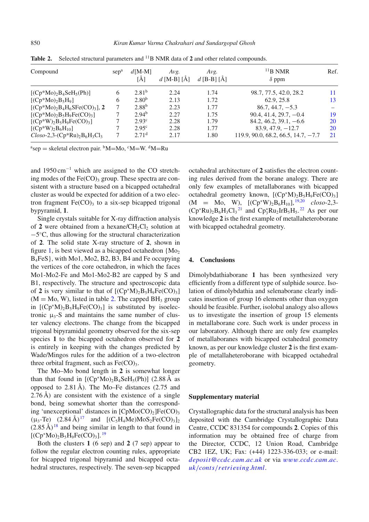| Compound                    | sep <sup>a</sup> | $d$ [M-M]<br>「Ă1  | Avg.<br>$d$ [M-B] [Å] | Avg.<br>d [B-B] [Å] | $11B$ NMR<br>$\delta$ ppm             | Ref.      |
|-----------------------------|------------------|-------------------|-----------------------|---------------------|---------------------------------------|-----------|
| $[(Cp*Mo)2B4SeH5(Ph)]$      | 6                | $2.81^{b}$        | 2.24                  | 1.74                | 98.7, 77.5, 42.0, 28.2                | 11        |
| $[(Cp*Mo)2B5H9]$            | 6                | $2.80^{b}$        | 2.13                  | 1.72                | 62.9, 25.8                            | 13        |
| $[(Cp*Mo)2B4H6SFe(CO)3],$ 2 |                  | $2.88^{b}$        | 2.23                  | 1.77                | $86.7, 44.7, -5.3$                    |           |
| $[(Cp*Mo)2B5H9Fe(CO)3]$     | 7                | $2.94^{b}$        | 2.27                  | 1.75                | $90.4, 41.4, 29.7, -0.4$              | 19        |
| $[(Cp*W)2B5H9Fe(CO)3]$      |                  | $2.93^{\circ}$    | 2.28                  | 1.79                | $84.2, 46.2, 39.1, -6.6$              | <b>20</b> |
| $[(Cp*W)2B6H10]$            |                  | $2.95^{\circ}$    | 2.28                  | 1.77                | $83.9, 47.9, -12.7$                   | 20        |
| $Closo-2,3-(Cp*Ru)2B6H3Cl3$ |                  | 2.71 <sup>d</sup> | 2.17                  | 1.80                | $119.9, 90.0, 68.2, 66.5, 14.7, -7.7$ | 21        |

<span id="page-3-0"></span>Table 2. Selected structural parameters and <sup>11</sup>B NMR data of 2 and other related compounds.

 $a^{a}$ sep = skeletal electron pair.  $b^{b}M=Mo$ ,  $c^{c}M=W$ .  $d^{d}M=Ru$ 

and 1950 cm<sup>−</sup><sup>1</sup> which are assigned to the CO stretching modes of the  $Fe(CO)$ <sub>3</sub> group. These spectra are consistent with a structure based on a bicapped octahedral cluster as would be expected for addition of a two electron fragment  $Fe(CO)$ <sub>3</sub> to a six-sep bicapped trigonal bypyramid, **1**.

Single crystals suitable for X-ray diffraction analysis of 2 were obtained from a hexane/ $CH_2Cl_2$  solution at −5◦C, thus allowing for the structural characterization of **2**. The solid state X-ray structure of **2**, shown in figure [1,](#page-1-0) is best viewed as a bicapped octahedron  ${Mo<sub>2</sub>}$ B4FeS}, with Mo1, Mo2, B2, B3, B4 and Fe occupying the vertices of the core octahedron, in which the faces Mo1-Mo2-Fe and Mo1-Mo2-B2 are capped by S and B1, respectively. The structure and spectroscopic data of 2 is very similar to that of  $[(Cp^*M)_2B_5H_9Fe(CO)_3]$  $(M = Mo, W)$ , listed in table [2.](#page-3-0) The capped BH<sub>3</sub> group in  $[(Cp^*M)_2B_5H_9Fe(CO)_3]$  is substituted by isoelectronic  $\mu_3$ -S and maintains the same number of cluster valency electrons. The change from the bicapped trigonal bipyramidal geometry observed for the six-sep species **1** to the bicapped octahedron observed for **2** is entirely in keeping with the changes predicted by Wade/Mingos rules for the addition of a two-electron three orbital fragment, such as  $Fe(CO)_{3}$ .

The Mo–Mo bond length in **2** is somewhat longer than that found in  $[(Cp*Mo)<sub>2</sub>B<sub>4</sub>SeH<sub>5</sub>(Ph)]$  (2.88 Å as opposed to 2.81 Å). The Mo–Fe distances (2.75 and 2.76 Å) are consistent with the existence of a single bond, being somewhat shorter than the corresponding 'unexceptional' distances in  $[ChMo(CO)<sub>2</sub>]Fe(CO)<sub>3</sub>$  $(\mu_3$ -Te)  $(2.84 \text{ Å})^{17}$  $(2.84 \text{ Å})^{17}$  $(2.84 \text{ Å})^{17}$  and  $[(C_5H_4Me)MoS_2Fe(CO)_3]_2$  $(2.85 \text{ Å})^{18}$  $(2.85 \text{ Å})^{18}$  $(2.85 \text{ Å})^{18}$  and being similar in length to that found in  $[(Cp*Mo)<sub>2</sub>B<sub>5</sub>H<sub>9</sub>Fe(CO)<sub>3</sub>].<sup>19</sup>$  $[(Cp*Mo)<sub>2</sub>B<sub>5</sub>H<sub>9</sub>Fe(CO)<sub>3</sub>].<sup>19</sup>$  $[(Cp*Mo)<sub>2</sub>B<sub>5</sub>H<sub>9</sub>Fe(CO)<sub>3</sub>].<sup>19</sup>$ 

Both the clusters **1** (6 sep) and **2** (7 sep) appear to follow the regular electron counting rules, appropriate for bicapped trigonal bipyramid and bicapped octahedral structures, respectively. The seven-sep bicapped octahedral architecture of **2** satisfies the electron counting rules derived from the borane analogy. There are only few examples of metallaboranes with bicapped octahedral geometry known,  $[(Cp^*M)_2B_5H_9Fe(CO)_3]$  $(M = Mo, W), [(Cp*W)_2B_6H_{10}]$ , <sup>[19](#page-4-8)[,20](#page-4-9)</sup> *closo*-2,3- $(Cp^*Ru)_2B_6H_3Cl_3^{21}$  $(Cp^*Ru)_2B_6H_3Cl_3^{21}$  $(Cp^*Ru)_2B_6H_3Cl_3^{21}$  and  $Cp_3^*Ru_2IrB_5H_5^{22}$  $Cp_3^*Ru_2IrB_5H_5^{22}$  $Cp_3^*Ru_2IrB_5H_5^{22}$  As per our knowledge **2** is the first example of metallaheteroborane with bicapped octahedral geometry.

## **4. Conclusions**

Dimolybdathiaborane **1** has been synthesized very efficiently from a different type of sulphide source. Isolation of dimolybdathia and selenaborane clearly indicates insertion of group 16 elements other than oxygen should be feasible. Further, isolobal analogy also allows us to investigate the insertion of group 15 elements in metallaborane core. Such work is under process in our laboratory. Although there are only few examples of metallaboranes with bicapped octahedral geometry known, as per our knowledge cluster **2** is the first example of metallaheteroborane with bicapped octahedral geometry.

## **Supplementary material**

Crystallographic data for the structural analysis has been deposited with the Cambridge Crystallographic Data Centre, CCDC 831354 for compounds **2**. Copies of this information may be obtained free of charge from the Director, CCDC, 12 Union Road, Cambridge CB2 1EZ, UK; Fax: (+44) 1223-336-033; or e-mail: *[deposit](http://deposit@ccdc.cam.ac.uk)*@*ccdc*.*cam*.*ac*.*uk* or via [www.](http://www.ccdc.cam.ac.uk/conts/retrieving.html)*ccdc*.*cam*.*ac*. *uk*/*conts*/*[retrie](http://www.ccdc.cam.ac.uk/conts/retrieving.html)*v*ing*.*html*.